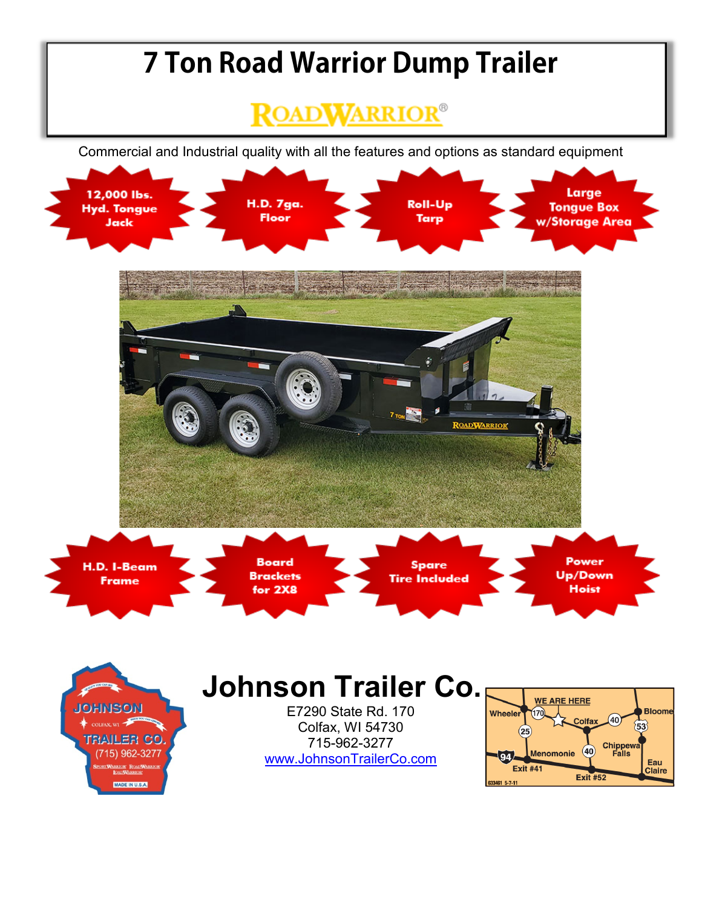## **7 Ton Road Warrior Dump Trailer**

## **ROADWARRIOR®**

Commercial and Industrial quality with all the features and options as standard equipment





## **Johnson Trailer Co.**

E7290 State Rd. 170 Colfax, WI 54730 715-962-3277 [www.JohnsonTrailerCo.com](http://www.johnsontrailerco.com/)